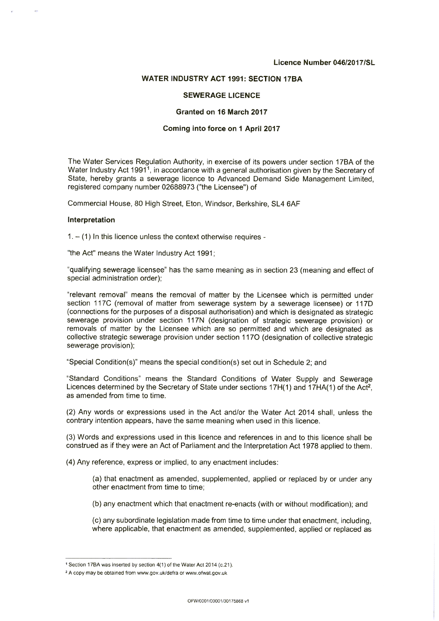#### **Licence Number 046120171SL**

### **WATER INDUSTRY ACT 1991: SECTION 17BA**

#### **SEWERAGE LICENCE**

#### **Granted on 16 March 2017**

#### **Coming into force on 1 April 2017**

The Water Services Regulation Authority, in exercise of its powers under section 17BA of the Water Industry Act 1991<sup>1</sup>, in accordance with a general authorisation given by the Secretary of State, hereby grants a sewerage licence to Advanced Demand Side Management Limited, registered company number 02688973 ("the Licensee") of

Commercial House, 80 High Street, Eton, Windsor, Berkshire, SL4 6AF

#### **Interpretation**

 $1. - (1)$  In this licence unless the context otherwise requires -

"the Act" means the Water Industry Act 1991;

"qualifying sewerage licensee" has the same meaning as in section 23 (meaning and effect of special administration order);

"relevant removal" means the removal of matter by the Licensee which is permitted under section 117C (removal of matter from sewerage system by a sewerage licensee) or 117D (connections for the purposes of a disposal authorisation) and which is designated as strategic sewerage provision under section 117N (designation of strategic sewerage provision) or removals of matter by the Licensee which are so permitted and which are designated as collective strategic sewerage provision under section 1170 (designation of collective strategic sewerage provision);

"Special Condition(s)" means the special condition(s) set out in Schedule 2; and

"Standard Conditions" means the Standard Conditions of Water Supply and Sewerage Licences determined by the Secretary of State under sections 17H(1) and 17HA(1) of the Act<sup>2</sup>, as amended from time to time.

(2) Any words or expressions used in the Act and/or the Water Act 2014 shall, unless the contrary intention appears, have the same meaning when used in this licence.

(3) Words and expressions used in this licence and references in and to this licence shall be construed as if they were an Act of Parliament and the Interpretation Act 1978 applied to them.

(4) Any reference, express or implied, to any enactment includes:

(a) that enactment as amended, supplemented, applied or replaced by or under any other enactment from time to time;

(b) any enactment which that enactment re-enacts (with or without modification); and

(c) any subordinate legislation made from time to time under that enactment, including, where applicable, that enactment as amended, supplemented, applied or replaced as

<sup>1</sup>Section 17BA was inserted by section 4(1) of the Water Act 2014 (c.21).

A copy may be obtained from www.gov.uk/defra or www.ofwat.gov.uk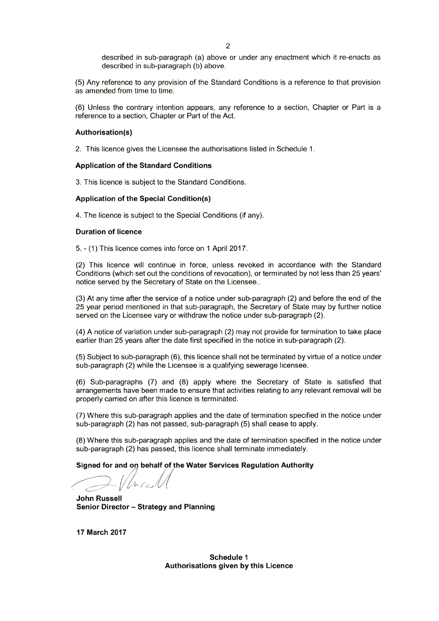described in sub-paragraph (a) above or under any enactment which it re-enacts as described in sub-paragraph (b) above.

(5) Any reference to any provision of the Standard Conditions is a reference to that provision as amended from time to time.

(6) Unless the contrary intention appears, any reference to a section, Chapter or Part is a reference to a section, Chapter or Part of the Act.

## **Authorisation(s)**

2. This licence gives the Licensee the authorisations listed in Schedule 1.

## **Application of the Standard Conditions**

3. This licence is subject to the Standard Conditions.

## **Application of the Special Condition(s)**

4. The licence is subject to the Special Conditions (if any).

## **Duration of licence**

5. - (1) This licence comes into force on 1 April 2017.

(2) This licence will continue in force, unless revoked in accordance with the Standard Conditions (which set out the conditions of revocation), or terminated by not less than 25 years' notice served by the Secretary of State on the Licensee..

(3) At any time after the service of a notice under sub-paragraph (2) and before the end of the 25 year period mentioned in that sub-paragraph, the Secretary of State may by further notice served on the Licensee vary or withdraw the notice under sub-paragraph (2).

(4) A notice of variation under sub-paragraph (2) may not provide for termination to take place earlier than 25 years after the date first specified in the notice in sub-paragraph (2).

(5) Subject to sub-paragraph (6), this licence shall not be terminated by virtue of a notice under sub-paragraph (2) while the Licensee is a qualifying sewerage licensee.

(6) Sub-paragraphs (7) and (8) apply where the Secretary of State is satisfied that arrangements have been made to ensure that activities relating to any relevant removal will be properly carried on after this licence is terminated.

(7) Where this sub-paragraph applies and the date of termination specified in the notice under sub-paragraph (2) has not passed, sub-paragraph (5) shall cease to apply.

(8) Where this sub-paragraph applies and the date of termination specified in the notice under sub-paragraph (2) has passed, this licence shall terminate immediately.

**Signed for and on behalf of the Water Services Regulation Authority** 

)<br>|<br>|  $n_{f2}$ 

**John Russell Senior Director — Strategy and Planning**

**17 March 2017**

**Schedule 1 Authorisations given by this Licence**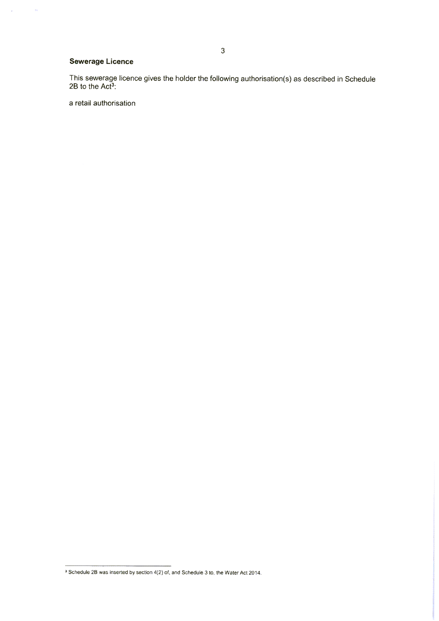## **Sewerage Licence**

 $\hat{\mathbf{v}}$ 

 $\frac{1}{2}$ 

This sewerage licence gives the holder the following authorisation(s) as described in Schedule  $2B$  to the Act<sup>3</sup>:

a retail authorisation

<sup>&</sup>lt;sup>3</sup> Schedule 2B was inserted by section 4(2) of, and Schedule 3 to, the Water Act 2014.